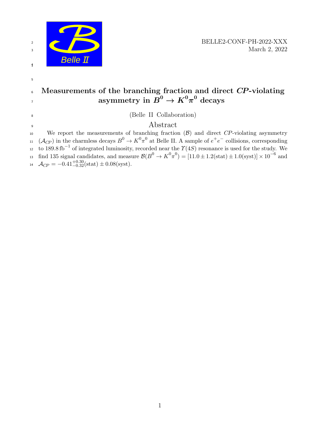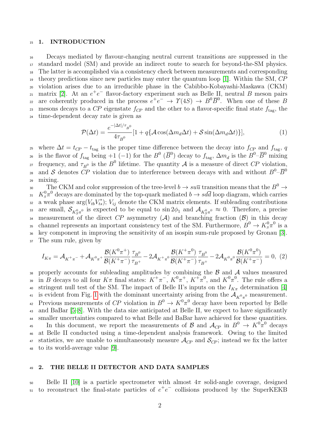#### 15 1. INTRODUCTION

 Decays mediated by flavour-changing neutral current transitions are suppressed in the standard model (SM) and provide an indirect route to search for beyond-the-SM physics. The latter is accomplished via a consistency check between measurements and corresponding theory predictions since new particles may enter the quantum loop [\[1\]](#page-11-0). Within the SM, CP violation arises due to an irreducible phase in the Cabibbo-Kobayashi-Maskawa (CKM) 21 matrix [\[2\]](#page-11-1). At an  $e^+e^-$  flavor-factory experiment such as Belle II, neutral B meson pairs are coherently produced in the process  $e^+e^- \to \gamma(4S) \to B^0 \overline{B}^0$ . When one of these B 23 mesons decays to a CP eigenstate  $f_{CP}$  and the other to a flavor-specific final state  $f_{\text{tag}}$ , the time-dependent decay rate is given as

<span id="page-1-0"></span>
$$
\mathcal{P}(\Delta t) = \frac{e^{-|\Delta t|/\tau_B 0}}{4\tau_B^0} [1 + q\{\mathcal{A}\cos(\Delta m_d \Delta t) + \mathcal{S}\sin(\Delta m_d \Delta t)\}],\tag{1}
$$

<sub>25</sub> where  $\Delta t = t_{CP} - t_{\text{tag}}$  is the proper time difference between the decay into  $f_{CP}$  and  $f_{\text{tag}}$ , q <sup>26</sup> is the flavor of  $f_{\text{tag}}$  being +1 (-1) for the  $B^0$  ( $\overline{B}^0$ ) decay to  $f_{\text{tag}}$ ,  $\Delta m_d$  is the  $B^0$ - $\overline{B}^0$  mixing <sup>27</sup> frequency, and  $\tau_{B^0}$  is the  $B^0$  lifetime. The quantity A is a measure of direct CP violation, and S denotes  $\overline{CP}$  violation due to interference between decays with and without  $B^0$ - $\overline{B}^0$ 28 <sup>29</sup> mixing.

30 The CKM and color suppression of the tree-level  $b \to su\overline{u}$  transition means that the  $B^0 \to$ <sup>31</sup>  $K_s^0 \pi^0$  decays are dominated by the top-quark mediated  $b \to s d \bar{d}$  loop diagram, which carries <sup>32</sup> a weak phase  $\arg(V_{tb}V_{ts}^*)$ ;  $V_{ij}$  denote the CKM matrix elements. If subleading contributions as are small,  $\mathcal{S}_{K^0_S\pi^0}$  is expected to be equal to  $\sin 2\phi_1$  and  $\mathcal{A}_{K^0_S\pi^0} \approx 0$ . Therefore, a precise 34 measurement of the direct CP asymmetry (A) and branching fraction  $(\mathcal{B})$  in this decay 35 channel represents an important consistency test of the SM. Furthermore,  $B^0 \to K_s^0 \pi^0$  is a <sup>36</sup> key component in improving the sensitivity of an isospin sum-rule proposed by Gronau [\[3\]](#page-11-2). <sup>37</sup> The sum rule, given by

$$
I_{K\pi} = \mathcal{A}_{K^{+}\pi^{-}} + \mathcal{A}_{K^{0}\pi^{+}} \frac{\mathcal{B}(K^{0}\pi^{+})}{\mathcal{B}(K^{+}\pi^{-})} \frac{\tau_{B^{0}}}{\tau_{B^{+}}} - 2\mathcal{A}_{K^{+}\pi^{0}} \frac{\mathcal{B}(K^{+}\pi^{0})}{\mathcal{B}(K^{+}\pi^{-})} \frac{\tau_{B^{0}}}{\tau_{B^{+}}} - 2\mathcal{A}_{K^{0}\pi^{0}} \frac{\mathcal{B}(K^{0}\pi^{0})}{\mathcal{B}(K^{+}\pi^{-})} = 0, (2)
$$

38 properly accounts for subleading amplitudes by combining the  $\beta$  and  $\mathcal A$  values measured <sup>39</sup> in B decays to all four  $K\pi$  final states:  $K^+\pi^-$ ,  $K^0\pi^+$ ,  $K^+\pi^0$ , and  $K^0\pi^0$ . The rule offers a 40 stringent null test of the SM. The impact of Belle II's inputs on the  $I_{K_{\pi}}$  determination [\[4\]](#page-11-3) <sup>41</sup> is evident from Fig. [1](#page-2-0) with the dominant uncertainty arising from the  $A_{K^0\pi^0}$  measurement. <sup>42</sup> Previous measurements of CP violation in  $B^0 \to K^0 \pi^0$  decay have been reported by Belle <sup>43</sup> and BaBar [\[5](#page-11-4)[–8\]](#page-11-5). With the data size anticipated at Belle II, we expect to have significantly <sup>44</sup> smaller uncertainties compared to what Belle and BaBar have achieved for these quantities. 45 In this document, we report the measurements of  $\mathcal{B}$  and  $\mathcal{A}_{CP}$  in  $B^0 \to K^0 \pi^0$  decays <sup>46</sup> at Belle II conducted using a time-dependent analysis framework. Owing to the limited 47 statistics, we are unable to simultaneously measure  $\mathcal{A}_{CP}$  and  $\mathcal{S}_{CP}$ ; instead we fix the latter <sup>48</sup> to its world-average value [\[9\]](#page-11-6).

### 49 2. THE BELLE II DETECTOR AND DATA SAMPLES

 $_{50}$  Belle II [\[10\]](#page-11-7) is a particle spectrometer with almost  $4\pi$  solid-angle coverage, designed  $\mu$  to reconstruct the final-state particles of  $e^+e^-$  collisions produced by the SuperKEKB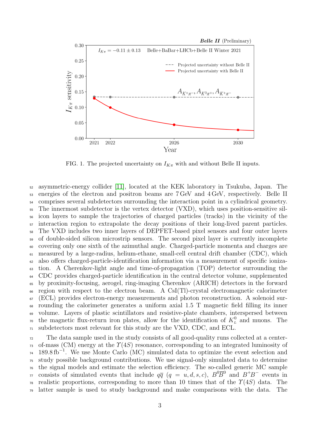

<span id="page-2-0"></span>FIG. 1. The projected uncertainty on  $I_{K\pi}$  with and without Belle II inputs.

 asymmetric-energy collider [\[11\]](#page-11-8), located at the KEK laboratory in Tsukuba, Japan. The energies of the electron and positron beams are 7 GeV and 4 GeV, respectively. Belle II <sub>54</sub> comprises several subdetectors surrounding the interaction point in a cylindrical geometry. The innermost subdetector is the vertex detector (VXD), which uses position-sensitive sil- icon layers to sample the trajectories of charged particles (tracks) in the vicinity of the interaction region to extrapolate the decay positions of their long-lived parent particles. The VXD includes two inner layers of DEPFET-based pixel sensors and four outer layers <sub>59</sub> of double-sided silicon microstrip sensors. The second pixel layer is currently incomplete covering only one sixth of the azimuthal angle. Charged-particle momenta and charges are measured by a large-radius, helium-ethane, small-cell central drift chamber (CDC), which also offers charged-particle-identification information via a measurement of specific ioniza- tion. A Cherenkov-light angle and time-of-propagation (TOP) detector surrounding the CDC provides charged-particle identification in the central detector volume, supplemented by proximity-focusing, aerogel, ring-imaging Cherenkov (ARICH) detectors in the forward region with respect to the electron beam. A CsI(Tl)-crystal electromagnetic calorimeter  $67 \times$  (ECL) provides electron-energy measurements and photon reconstruction. A solenoid sur- rounding the calorimeter generates a uniform axial 1.5 T magnetic field filling its inner volume. Layers of plastic scintillators and resistive-plate chambers, interspersed between <sup>70</sup> the magnetic flux-return iron plates, allow for the identification of  $K<sub>L</sub><sup>0</sup>$  and muons. The subdetectors most relevant for this study are the VXD, CDC, and ECL.

 The data sample used in the study consists of all good-quality runs collected at a center- $\tau_3$  of-mass (CM) energy at the  $\Upsilon(4S)$  resonance, corresponding to an integrated luminosity of  $74 \quad 189.8 \text{ fb}^{-1}$ . We use Monte Carlo (MC) simulated data to optimize the event selection and study possible background contributions. We use signal-only simulated data to determine the signal models and estimate the selection efficiency. The so-called generic MC sample <sup>77</sup> consists of simulated events that include  $q\bar{q}$  ( $q = u, d, s, c$ ),  $B^0\bar{B}^0$  and  $B^+B^-$  events in <sup>78</sup> realistic proportions, corresponding to more than 10 times that of the  $\Upsilon(4S)$  data. The latter sample is used to study background and make comparisons with the data. The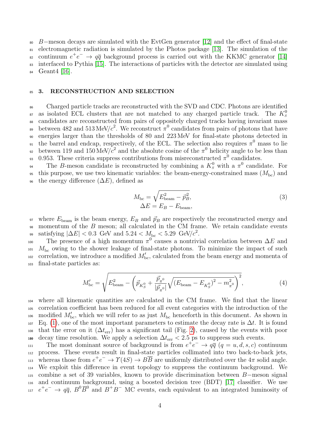<sup>80</sup> B−meson decays are simulated with the EvtGen generator [\[12\]](#page-11-9) and the effect of final-state <sup>81</sup> electromagnetic radiation is simulated by the Photos package [\[13\]](#page-11-10). The simulation of the s continuum  $e^+e^- \rightarrow q\bar{q}$  background process is carried out with the KKMC generator [\[14\]](#page-11-11) <sup>83</sup> interfaced to Pythia [\[15\]](#page-11-12). The interactions of particles with the detector are simulated using  $_{84}$  Geant 4 [\[16\]](#page-11-13).

### 85 3. RECONSTRUCTION AND SELECTION

<sup>86</sup> Charged particle tracks are reconstructed with the SVD and CDC. Photons are identified as isolated ECL clusters that are not matched to any charged particle track. The  $K_s^0$ 87 88 candidates are reconstructed from pairs of oppositely charged tracks having invariant mass between 482 and 513 MeV/ $c^2$ . We reconstruct  $\pi^0$  candidates from pairs of photons that have <sup>90</sup> energies larger than the thresholds of 80 and 223 MeV for final-state photons detected in <sup>91</sup> the barrel and endcap, respectively, of the ECL. The selection also requires  $\pi^0$  mass to lie between 119 and 150 MeV/ $c^2$  and the absolute cosine of the  $\pi^0$  helicity angle to be less than 93 0.953. These criteria suppress contributions from misreconstructed  $\pi^0$  candidates.

<sup>94</sup> The B-meson candidate is reconstructed by combining a  $K_s^0$  with a  $\pi^0$  candidate. For <sup>95</sup> this purpose, we use two kinematic variables: the beam-energy-constrained mass  $(M_{\text{bc}})$  and 96 the energy difference  $(\Delta E)$ , defined as

$$
M_{\rm bc} = \sqrt{E_{\rm beam}^2 - \vec{p}_B^2},
$$
  
\n
$$
\Delta E = E_B - E_{\rm beam},
$$
\n(3)

97 where  $E_{\text{beam}}$  is the beam energy,  $E_B$  and  $\vec{p}_B$  are respectively the reconstructed energy and  $98$  momentum of the  $B$  meson; all calculated in the CM frame. We retain candidate events  $\text{s}$  satisfying  $|\Delta E| < 0.3 \, \text{ GeV}$  and  $5.24 < M_{\text{bc}} < 5.29 \, \text{ GeV}/c^2$ .

100 The presence of a high momentum  $\pi^0$  causes a nontrivial correlation between  $\Delta E$  and  $101 M_{\rm bc}$  owing to the shower leakage of final-state photons. To minimize the impact of such  $\alpha$  correlation, we introduce a modified  $M'_{\text{bc}}$ , calculated from the beam energy and momenta of <sup>103</sup> final-state particles as:

$$
M'_{\rm bc} = \sqrt{E_{\rm beam}^2 - \left(\vec{p}_{K_S^0} + \frac{\vec{p}_{\pi^0}}{|\vec{p}_{\pi^0}|} \sqrt{(E_{\rm beam} - E_{K_S^0})^2 - m_{\pi^0}^2}\right)^2},\tag{4}
$$

<sup>104</sup> where all kinematic quantities are calculated in the CM frame. We find that the linear <sup>105</sup> correlation coefficient has been reduced for all event categories with the introduction of the  $_{106}$  modified  $M'_{\text{bc}}$ , which we will refer to as just  $M_{\text{bc}}$  henceforth in this document. As shown in  $_{107}$  Eq. [\(1\)](#page-1-0), one of the most important parameters to estimate the decay rate is  $\Delta t$ . It is found <sup>108</sup> that the error on it  $(\Delta t_{\rm err})$  has a significant tail (Fig. [2\)](#page-4-0), caused by the events with poor decay time resolution. We apply a selection  $\Delta t_{\rm err}$  < 2.5 ps to suppress such events.

The most dominant source of background is from  $e^+e^- \rightarrow q\overline{q}$   $(q = u, d, s, c)$  continuum <sup>112</sup> process. These events result in final-state particles collimated into two back-to-back jets, whereas those from  $e^+e^- \to \gamma(4S) \to \overline{BB}$  are uniformly distributed over the  $4\pi$  solid angle. <sup>114</sup> We exploit this difference in event topology to suppress the continuum background. We <sup>115</sup> combine a set of 39 variables, known to provide discrimination between B−meson signal <sup>116</sup> and continuum background, using a boosted decision tree (BDT) [\[17\]](#page-11-14) classifier. We use  $e^+e^- \rightarrow q\bar{q}$ ,  $B^0\bar{B}^0$  and  $B^+B^-$  MC events, each equivalent to an integrated luminosity of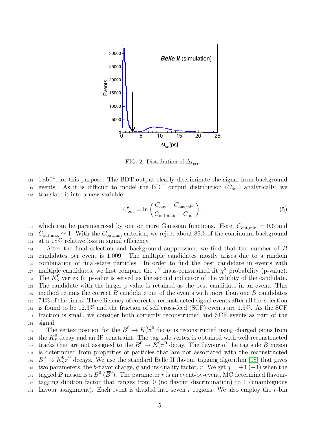

<span id="page-4-0"></span>FIG. 2. Distribution of  $\Delta t_{\text{err}}$ .

 $_{118}$  1 ab<sup>-1</sup>, for this purpose. The BDT output clearly discriminate the signal from background 119 events. As it is difficult to model the BDT output distribution  $(C_{\text{out}})$  analytically, we <sup>120</sup> translate it into a new variable:

$$
C'_{\text{out}} = \ln\left(\frac{C_{\text{out}} - C_{\text{out,min}}}{C_{\text{out,max}} - C_{\text{out}}}\right),\tag{5}
$$

<sup>121</sup> which can be parametrized by one or more Gaussian functions. Here,  $C_{\text{out,min}} = 0.6$  and  $122 \quad C_{\text{out,max}} \simeq 1.$  With the  $C_{\text{out,min}}$  criterion, we reject about 89% of the continuum background <sup>123</sup> at a 18% relative loss in signal efficiency.

 After the final selection and background suppression, we find that the number of B candidates per event is 1.009. The multiple candidates mostly arises due to a random combination of final-state particles. In order to find the best candidate in events with nultiple candidates, we first compare the  $\pi^0$  mass-constrained fit  $\chi^2$  probability (p-value). 128 The  $K^0_s$  vertex fit p-value is served as the second indicator of the validity of the candidate. The candidate with the larger p-value is retained as the best candidate in an event. This 130 method retains the correct  $B$  candidate out of the events with more than one  $B$  candidates 74% of the times. The efficiency of correctly reconstructed signal events after all the selection is found to be 12.3% and the fraction of self cross-feed (SCF) events are 1.5%. As the SCF fraction is small, we consider both correctly reconstructed and SCF events as part of the <sup>134</sup> signal.

The vertex position for the  $B^0 \to K^0_s \pi^0$  decay is reconstructed using charged pions from <sup>136</sup> the  $K_s^0$  decay and an IP constraint. The tag side vertex is obtained with well-reconstructed <sup>137</sup> tracks that are not assigned to the  $B^0 \to \tilde{K_S^0} \pi^0$  decay. The flavour of the tag side B meson <sup>138</sup> is determined from properties of particles that are not associated with the reconstructed <sup>139</sup>  $B^0 \to K^0_S \pi^0$  decays. We use the standard Belle II flavour tagging algorithm [\[18\]](#page-11-15) that gives 140 two parameters, the b-flavor charge, q and its quality factor, r. We get  $q = +1$  (-1) when the <sup>141</sup> tagged B meson is a  $B^0$  ( $\overline{B}^0$ ). The parameter r is an event-by-event, MC determined flavour-<sup>142</sup> tagging dilution factor that ranges from 0 (no flavour discrimination) to 1 (unambiguous <sup>143</sup> flavour assignment). Each event is divided into seven r regions. We also employ the r-bin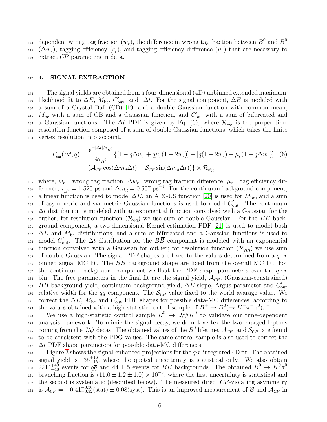dependent wrong tag fraction  $(w_r)$ , the difference in wrong tag fraction between  $B^0$  and  $\overline{B}^0$ 144 <sup>145</sup> ( $\Delta w_r$ ), tagging efficiency ( $\epsilon_r$ ), and tagging efficiency difference ( $\mu_r$ ) that are necessary to 146 extract  $\mathbb{CP}$  parameters in data.

### 147 4. SIGNAL EXTRACTION

<sup>148</sup> The signal yields are obtained from a four-dimensional (4D) unbinned extended maximumlikelihood fit to  $\Delta E$ ,  $M_{\text{bc}}$ ,  $C'_{\text{out}}$ , and  $\Delta t$ . For the signal component,  $\Delta E$  is modeled with <sup>150</sup> a sum of a Crystal Ball (CB) [\[19\]](#page-11-16) and a double Gaussian function with common mean, <sup>151</sup>  $M_{\rm bc}$  with a sum of CB and a Gaussian function, and  $C'_{\rm out}$  with a sum of bifurcated and <sup>152</sup> a Gaussian functions. The  $\Delta t$  PDF is given by Eq. [\(6\)](#page-5-0), where  $\mathcal{R}_{sig}$  is the proper time <sup>153</sup> resolution function composed of a sum of double Gaussian functions, which takes the finite <sup>154</sup> vertex resolution into account.

<span id="page-5-0"></span>
$$
P_{\text{sig}}(\Delta t, q) = \frac{e^{-|\Delta t|/\tau_{B^0}}}{4\tau_{B^0}} \{ [1 - q\Delta w_r + q\mu_r(1 - 2w_r)] + [q(1 - 2w_r) + \mu_r(1 - q\Delta w_r)] \quad (6)
$$

$$
(\mathcal{A}_{CP} \cos(\Delta m_d \Delta t) + \mathcal{S}_{CP} \sin(\Delta m_d \Delta t)) \} \otimes \mathcal{R}_{\text{sig}},
$$

155 where,  $w_r$  =wrong tag fraction,  $\Delta w_r$ =wrong tag fraction difference,  $\mu_r$ = tag efficiency dif-156 ference,  $\tau_{B^0} = 1.520$  ps and  $\Delta m_d = 0.507$  ps<sup>-1</sup>. For the continuum background component, 157 a linear function is used to model  $\Delta E$ , an ARGUS function [\[20\]](#page-11-17) is used for  $M_{\text{bc}}$ , and a sum <sup>158</sup> of asymmetric and symmetric Gaussian functions is used to model  $C'_{\text{out}}$ . The continuum  $\Delta t$  distribution is modeled with an exponential function convolved with a Gaussian for the <sup>160</sup> outlier; for resolution function  $(\mathcal{R}_{q\bar{q}})$  we use sum of double Gaussian. For the  $B\overline{B}$  back-<sup>161</sup> ground component, a two-dimensional Kernel estimation PDF [\[21\]](#page-11-18) is used to model both  $\Delta E$  and  $M_{\rm bc}$  distributions, and a sum of bifurcated and a Gaussian functions is used to <sup>163</sup> model  $C'_{\text{out}}$ . The  $\Delta t$  distribution for the  $B\overline{B}$  component is modeled with an exponential <sup>164</sup> function convolved with a Gaussian for outlier; for resolution function  $(\mathcal{R}_{\mathcal{B}\bar{\mathcal{B}}})$  we use sum <sup>165</sup> of double Gaussian. The signal PDF shapes are fixed to the values determined from a  $q \cdot r$ <sup>166</sup> binned signal MC fit. The BB background shape are fixed from the overall MC fit. For <sup>167</sup> the continuum background component we float the PDF shape parameters over the  $q \cdot r$ 168 bin. The free parameters in the final fit are the signal yield,  $\mathcal{A}_{CP}$ , (Gaussian-constrained) <sup>169</sup> BB background yield, continuum background yield,  $\Delta E$  slope, Argus parameter and  $C'_{\text{out}}$ 170 relative width for the  $q\bar{q}$  component. The  $\mathcal{S}_{CP}$  value fixed to the world avarage value. We <sup>171</sup> correct the  $\Delta E$ ,  $M_{\text{bc}}$  and  $C'_{\text{out}}$  PDF shapes for possible data-MC differences, according to 172 the values obtained with a high-statistic control sample of  $B^+ \to \overline{D}^0 (\to K^+ \pi^- \pi^0) \pi^+$ .

<sup>173</sup> We use a high-statistic control sample  $B^0 \to J/\psi K^0_s$  to validate our time-dependent <sup>174</sup> analysis framework. To mimic the signal decay, we do not vertex the two charged leptons <sup>175</sup> coming from the  $J/\psi$  decay. The obtained values of the  $B^0$  lifetime,  $\mathcal{A}_{CP}$  and  $\mathcal{S}_{CP}$  are found <sup>176</sup> to be consistent with the PDG values. The same control sample is also used to correct the  $_{177}$   $\Delta t$  PDF shape parameters for possible data-MC differences.

 $F_{178}$  Figure [3](#page-6-0) shows the signal-enhanced projections for the q·r-integrated 4D fit. The obtained  $\mu_{179}$  signal yield is  $135^{+16}_{-15}$ , where the quoted uncertainty is statistical only. We also obtain  $2214_{-48}^{+49}$  events for  $q\bar{q}$  and  $44 \pm 5$  events for BB backgrounds. The obtained  $B^0 \to K^0 \pi^0$ 180  $_{181}$  branching fraction is  $(11.0 \pm 1.2 \pm 1.0) \times 10^{-6}$ , where the first uncertainty is statistical and  $182$  the second is systematic (described below). The measured direct CP-violating asymmetry 183 is  $\mathcal{A}_{CP} = -0.41_{-0.32}^{+0.30}(\text{stat}) \pm 0.08(\text{syst})$ . This is an improved measurement of  $\mathcal{B}$  and  $\mathcal{A}_{CP}$  in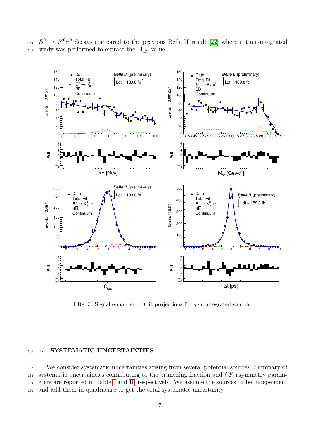<sup>184</sup>  $B^0 \to K^0 \pi^0$  decays compared to the previous Belle II result [\[22\]](#page-11-19) where a time-integrated 185 study was performed to extract the  $\mathcal{A}_{CP}$  value.



<span id="page-6-0"></span>FIG. 3. Signal enhanced 4D fit projections for  $q \cdot r$  integrated sample.

### 186 5. SYSTEMATIC UNCERTAINTIES

 We consider systematic uncertainties arising from several potential sources. Summary of systematic uncertainties contributing to the branching fraction and CP asymmetry param- eters are reported in Table [I](#page-8-0) and [II,](#page-9-0) respectively. We assume the sources to be independent and add them in quadrature to get the total systematic uncertainty.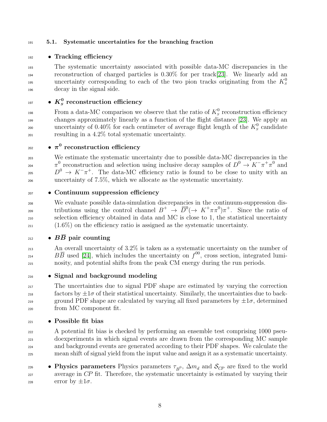### <sup>191</sup> 5.1. Systematic uncertainties for the branching fraction

192 • Tracking efficiency

<sup>193</sup> The systematic uncertainty associated with possible data-MC discrepancies in the <sup>194</sup> reconstruction of charged particles is 0.30% for per track[\[23\]](#page-11-20). We linearly add an uncertainty corresponding to each of the two pion tracks originating from the  $K_s^0$ 195 <sup>196</sup> decay in the signal side.

# $_{{\rm ^{197}}}$   $\quad$   $\bullet$   $K^0_S$  reconstruction efficiency

From a data-MC comparison we observe that the ratio of  $K^0_s$  reconstruction efficiency <sup>199</sup> changes approximately linearly as a function of the flight distance [\[23\]](#page-11-20). We apply an 200 uncertainty of 0.40% for each centimeter of average flight length of the  $K_s^0$  candidate <sup>201</sup> resulting in a 4.2% total systematic uncertainty.

# $_{\rm ^{202}}$   $\qquad$   $\bullet$   $\pi^0$  reconstruction efficiency

 We estimate the systematic uncertainty due to possible data-MC discrepancies in the <sup>204</sup>  $\pi^0$  reconstruction and selection using inclusive decay samples of  $D^0 \to K^-\pi^+\pi^0$  and  $D^0 \to K^- \pi^+$ . The data-MC efficiency ratio is found to be close to unity with an uncertainty of 7.5%, which we allocate as the systematic uncertainty.

# <sup>207</sup> • Continuum suppression efficiency

 We evaluate possible data-simulation discrepancies in the continuum-suppression distributions using the control channel  $B^+ \to \overline{D}^0 (\to K^+ \pi \pi^0) \pi^+$ . Since the ratio of selection efficiency obtained in data and MC is close to 1, the statistical uncertainty (1.6%) on the efficiency ratio is assigned as the systematic uncertainty.

### $_{212}$  •  $B\overline{B}$  pair counting

<sup>213</sup> An overall uncertainty of 3.2% is taken as a systematic uncertainty on the number of <sup>214</sup> BB used [\[24\]](#page-11-21), which includes the uncertainty on  $f^{00}$ , cross section, integrated lumi-<sup>215</sup> nosity, and potential shifts from the peak CM energy during the run periods.

# <sup>216</sup> • Signal and background modeling

<sup>217</sup> The uncertainties due to signal PDF shape are estimated by varying the correction  $\frac{1}{218}$  factors by  $\pm 1\sigma$  of their statistical uncertainty. Similarly, the uncertainties due to back-219 ground PDF shape are calculated by varying all fixed parameters by  $\pm 1\sigma$ , determined <sup>220</sup> from MC component fit.

 $_{221}$  • Possible fit bias

 A potential fit bias is checked by performing an ensemble test comprising 1000 pseu- doexperiments in which signal events are drawn from the corresponding MC sample and background events are generated according to their PDF shapes. We calculate the mean shift of signal yield from the input value and assign it as a systematic uncertainty.

**• Physics parameters** Physics parameters  $\tau_{B}^0$ ,  $\Delta m_d$  and  $\mathcal{S}_{CP}$  are fixed to the world <sup>227</sup> average in CP fit. Therefore, the systematic uncertainty is estimated by varying their 228 error by  $\pm 1\sigma$ .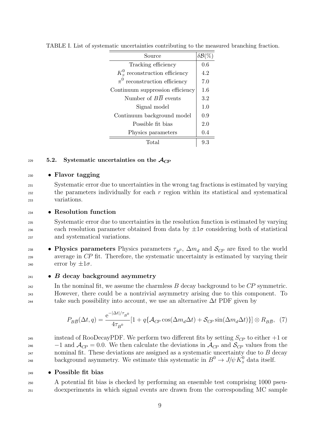| Source                            | $\delta\mathcal{B}(\%$ |
|-----------------------------------|------------------------|
| Tracking efficiency               | 0.6                    |
| $K_s^0$ reconstruction efficiency | 4.2                    |
| $\pi^0$ reconstruction efficiency | 7.0                    |
| Continuum suppression efficiency  | 1.6                    |
| Number of $B\overline{B}$ events  | 3.2                    |
| Signal model                      | 1.0                    |
| Continuum background model        | 0.9                    |
| Possible fit bias                 | 2.0                    |
| Physics parameters                | 0.4                    |
| Total                             | 93                     |

<span id="page-8-0"></span>TABLE I. List of systematic uncertainties contributing to the measured branching fraction.

# 229 5.2. Systematic uncertainties on the  $\mathcal{A}_{CP}$

# $_{230}$  • Flavor tagging

<sup>231</sup> Systematic error due to uncertainties in the wrong tag fractions is estimated by varying  $232$  the parameters individually for each r region within its statistical and systematical <sup>233</sup> variations.

# <sup>234</sup> • Resolution function

<sup>235</sup> Systematic error due to uncertainties in the resolution function is estimated by varying each resolution parameter obtained from data by  $\pm 1\sigma$  considering both of statistical <sup>237</sup> and systematical variations.

• Physics parameters Physics parameters  $\tau_{B}^0$ ,  $\Delta m_d$  and  $\mathcal{S}_{CP}$  are fixed to the world <sup>239</sup> average in CP fit. Therefore, the systematic uncertainty is estimated by varying their 240 error by  $\pm 1\sigma$ .

 $_{241}$  • B decay background asymmetry

 $242$  In the nominal fit, we assume the charmless  $B$  decay background to be  $CP$  symmetric. <sup>243</sup> However, there could be a nontrivial asymmetry arising due to this component. To take such possibility into account, we use an alternative  $\Delta t$  PDF given by

$$
P_{B\overline{B}}(\Delta t, q) = \frac{e^{-|\Delta t|/\tau_{B^0}}}{4\tau_{B^0}} [1 + q\{\mathcal{A}_{CP}\cos(\Delta m_d \Delta t) + \mathcal{S}_{CP}\sin(\Delta m_d \Delta t)\}] \otimes R_{B\overline{B}}, \tag{7}
$$

<sup>245</sup> instead of RooDecayPDF. We perform two different fits by setting  $S_{CP}$  to either  $+1$  or <sup>246</sup>  $-1$  and  $\mathcal{A}_{CP} = 0.0$ . We then calculate the deviations in  $\mathcal{A}_{CP}$  and  $\mathcal{S}_{CP}$  values from the  $_{247}$  nominal fit. These deviations are assigned as a systematic uncertainty due to  $B$  decay background asymmetry. We estimate this systematic in  $B^0 \to J/\psi K^0_S$  data itself.

 $_{249}$  • Possible fit bias

<sup>250</sup> A potential fit bias is checked by performing an ensemble test comprising 1000 pseu-<sup>251</sup> doexperiments in which signal events are drawn from the corresponding MC sample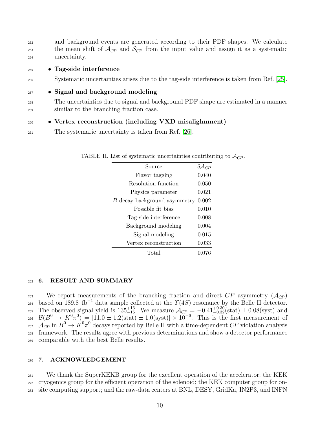| 252        | and background events are generated according to their PDF shapes. We calculate                                                |
|------------|--------------------------------------------------------------------------------------------------------------------------------|
| 253<br>254 | the mean shift of $\mathcal{A}_{CP}$ and $\mathcal{S}_{CP}$ from the input value and assign it as a systematic<br>uncertainty. |
| 255        | • Tag-side interference                                                                                                        |
| 256        | Systematic uncertainties arises due to the tag-side interference is taken from Ref. [25].                                      |
| 257        | • Signal and background modeling                                                                                               |
| 258        | The uncertainties due to signal and background PDF shape are estimated in a manner                                             |
| 259        | similar to the branching fraction case.                                                                                        |
| 260        | • Vertex reconstruction (including VXD misalighnment)                                                                          |

<sup>261</sup> The systemaric uncertainty is taken from Ref. [\[26\]](#page-11-23).

<span id="page-9-0"></span>

| Source                       |       |
|------------------------------|-------|
| Flavor tagging               | 0.040 |
| Resolution function          | 0.050 |
| Physics parameter            | 0.021 |
| B decay background asymmetry | 0.002 |
| Possible fit bias            | 0.010 |
| Tag-side interference        | 0.008 |
| Background modeling          | 0.004 |
| Signal modeling              | 0.015 |
| Vertex reconstruction        | 0.033 |
| Total                        |       |

TABLE II. List of systematic uncertainties contributing to  $\mathcal{A}_{CP}$ .

### 262 6. RESULT AND SUMMARY

<sup>263</sup> We report measurements of the branching fraction and direct  $CP$  asymmetry  $(A_{CP})$ based on 189.8 fb<sup>-1</sup> data sample collected at the  $\Upsilon(4S)$  resonance by the Belle II detector. 265 The observed signal yield is  $135^{+16}_{-15}$ . We measure  $\mathcal{A}_{CP} = -0.41^{+0.30}_{-0.32}$  (stat)  $\pm 0.08$  (syst) and 266  $\mathcal{B}(B^0 \to K^0 \pi^0) = [11.0 \pm 1.2 \text{(stat)} \pm 1.0 \text{(syst)}] \times 10^{-6}$ . This is the first measurement of <sup>267</sup>  $\mathcal{A}_{CP}$  in  $B^0 \to K^0 \pi^0$  decays reported by Belle II with a time-dependent CP violation analysis <sup>268</sup> framework. The results agree with previous determinations and show a detector performance <sup>269</sup> comparable with the best Belle results.

### <sup>270</sup> 7. ACKNOWLEDGEMENT

<sup>271</sup> We thank the SuperKEKB group for the excellent operation of the accelerator; the KEK <sup>272</sup> cryogenics group for the efficient operation of the solenoid; the KEK computer group for on-<sup>273</sup> site computing support; and the raw-data centers at BNL, DESY, GridKa, IN2P3, and INFN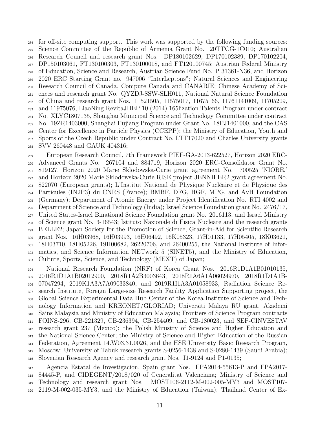for off-site computing support. This work was supported by the following funding sources: Science Committee of the Republic of Armenia Grant No. 20TTCG-1C010; Australian Research Council and research grant Nos. DP180102629, DP170102389, DP170102204, DP150103061, FT130100303, FT130100018, and FT120100745; Austrian Federal Ministry of Education, Science and Research, Austrian Science Fund No. P 31361-N36, and Horizon 2020 ERC Starting Grant no. 947006 "InterLeptons"; Natural Sciences and Engineering Research Council of Canada, Compute Canada and CANARIE; Chinese Academy of Sci- ences and research grant No. QYZDJ-SSW-SLH011, National Natural Science Foundation of China and research grant Nos. 11521505, 11575017, 11675166, 11761141009, 11705209, and 11975076, LiaoNing RevitaJHEP 10 (2014) 165lization Talents Program under contract No. XLYC1807135, Shanghai Municipal Science and Technology Committee under contract No. 19ZR1403000, Shanghai Pujiang Program under Grant No. 18PJ1401000, and the CAS Center for Excellence in Particle Physics (CCEPP); the Ministry of Education, Youth and Sports of the Czech Republic under Contract No. LTT17020 and Charles University grants SVV 260448 and GAUK 404316;

 European Research Council, 7th Framework PIEF-GA-2013-622527, Horizon 2020 ERC- Advanced Grants No. 267104 and 884719, Horizon 2020 ERC-Consolidator Grant No. 819127, Horizon 2020 Marie Sklodowska-Curie grant agreement No. 700525 'NIOBE,' and Horizon 2020 Marie Sklodowska-Curie RISE project JENNIFER2 grant agreement No. 822070 (European grants); L'Institut National de Physique Nucl´eaire et de Physique des Particules (IN2P3) du CNRS (France); BMBF, DFG, HGF, MPG, and AvH Foundation (Germany); Department of Atomic Energy under Project Identification No. RTI 4002 and Department of Science and Technology (India); Israel Science Foundation grant No. 2476/17, United States-Israel Binational Science Foundation grant No. 2016113, and Israel Ministry of Science grant No. 3-16543; Istituto Nazionale di Fisica Nucleare and the research grants BELLE2; Japan Society for the Promotion of Science, Grant-in-Aid for Scientific Research grant Nos. 16H03968, 16H03993, 16H06492, 16K05323, 17H01133, 17H05405, 18K03621, 18H03710, 18H05226, 19H00682, 26220706, and 26400255, the National Institute of Infor- matics, and Science Information NETwork 5 (SINET5), and the Ministry of Education, Culture, Sports, Science, and Technology (MEXT) of Japan;

 National Research Foundation (NRF) of Korea Grant Nos. 2016R1D1A1B01010135, 2016R1D1A1B02012900, 2018R1A2B3003643, 2018R1A6A1A06024970, 2018R1D1A1B- 07047294, 2019K1A3A7A09033840, and 2019R1I1A3A01058933, Radiation Science Re- search Institute, Foreign Large-size Research Facility Application Supporting project, the Global Science Experimental Data Hub Center of the Korea Institute of Science and Tech- nology Information and KREONET/GLORIAD; Universiti Malaya RU grant, Akademi Sains Malaysia and Ministry of Education Malaysia; Frontiers of Science Program contracts FOINS-296, CB-221329, CB-236394, CB-254409, and CB-180023, and SEP-CINVESTAV research grant 237 (Mexico); the Polish Ministry of Science and Higher Education and the National Science Center; the Ministry of Science and Higher Education of the Russian Federation, Agreement 14.W03.31.0026, and the HSE University Basic Research Program, Moscow; University of Tabuk research grants S-0256-1438 and S-0280-1439 (Saudi Arabia); Slovenian Research Agency and research grant Nos. J1-9124 and P1-0135;

 Agencia Estatal de Investigacion, Spain grant Nos. FPA2014-55613-P and FPA2017- 84445-P, and CIDEGENT/2018/020 of Generalitat Valenciana; Ministry of Science and Technology and research grant Nos. MOST106-2112-M-002-005-MY3 and MOST107- 2119-M-002-035-MY3, and the Ministry of Education (Taiwan); Thailand Center of Ex